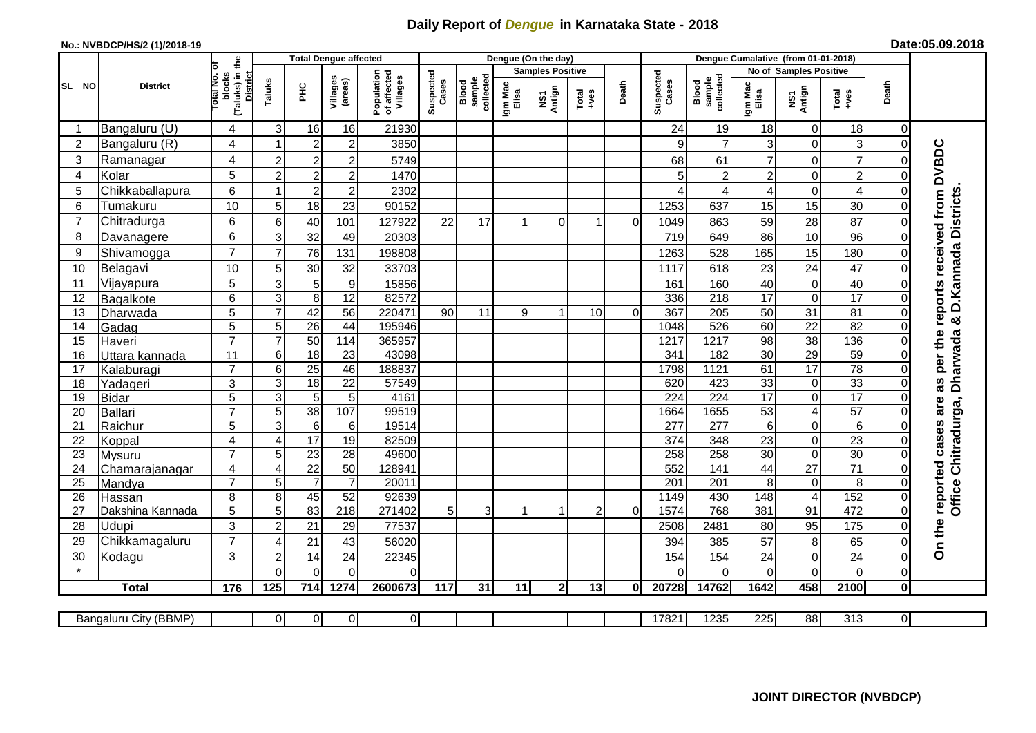## **Daily Report of** *Dengue* **in Karnataka State - 2018**

## **No.: NVBDCP/HS/2 (1)/2018-19**

|  | Date:05.09.2018 |
|--|-----------------|
|--|-----------------|

|                |                            |                                                             |                                |                                   | <b>Total Dengue affected</b> |                                       |                    |                              |                  | Dengue (On the day)     |                                                              |          |                         |                              |                  |                                      |                 |                      |                                        |
|----------------|----------------------------|-------------------------------------------------------------|--------------------------------|-----------------------------------|------------------------------|---------------------------------------|--------------------|------------------------------|------------------|-------------------------|--------------------------------------------------------------|----------|-------------------------|------------------------------|------------------|--------------------------------------|-----------------|----------------------|----------------------------------------|
|                | <b>District</b>            |                                                             |                                |                                   |                              |                                       |                    |                              |                  | <b>Samples Positive</b> |                                                              |          |                         |                              |                  | <b>No of Samples Positive</b>        |                 |                      |                                        |
| SL NO          |                            | (Taluks) in the<br>otal No. of<br>blocks<br><b>District</b> | Taluks                         | Ξ                                 | Villages<br>(areas)          | Population<br>of affected<br>Villages | Suspected<br>Cases | sample<br>collected<br>Blood | Igm Mac<br>Elisa | NS1<br>Antign           | $\begin{array}{c}\n\text{Total} \\ \text{+ves}\n\end{array}$ | Death    | Suspected<br>Cases      | Blood<br>sample<br>collected | Igm Mac<br>Elisa | NS1<br>Antign                        | Total<br>+ves   | Death                |                                        |
|                | Bangaluru (U)              | $\overline{4}$                                              | 3                              | 16                                | 16                           | 21930                                 |                    |                              |                  |                         |                                                              |          | 24                      | 19                           | 18               | $\mathbf 0$                          | 18              | $\overline{0}$       |                                        |
| $\overline{2}$ | Bangaluru (R)              | 4                                                           |                                | $\overline{2}$                    | $\overline{c}$               | 3850                                  |                    |                              |                  |                         |                                                              |          | 9                       | $\overline{7}$               | 3                | $\overline{0}$                       | 3               | $\Omega$             |                                        |
| 3              | Ramanagar                  | 4                                                           | $\overline{2}$                 | $\overline{2}$                    | $\overline{c}$               | 5749                                  |                    |                              |                  |                         |                                                              |          | 68                      | 61                           | $\overline{7}$   | $\mathbf 0$                          | $\overline{7}$  |                      | as per the reports received from DVBDC |
| $\overline{4}$ | Kolar                      | 5                                                           | $\overline{2}$                 | $\overline{2}$                    | $\overline{c}$               | 1470                                  |                    |                              |                  |                         |                                                              |          | 5                       | $\overline{2}$               | $\overline{c}$   | $\mathbf 0$                          | $\overline{c}$  | $\Omega$             |                                        |
| 5              | Chikkaballapura            | $6\phantom{1}$                                              |                                | $\overline{2}$                    | $\overline{c}$               | 2302                                  |                    |                              |                  |                         |                                                              |          |                         | 4                            | 4                | $\mathbf 0$                          | $\overline{4}$  | $\Omega$             |                                        |
| 6              | Tumakuru                   | 10                                                          | 5                              | 18                                | 23                           | 90152                                 |                    |                              |                  |                         |                                                              |          | 1253                    | 637                          | 15               | 15                                   | 30              | $\Omega$             |                                        |
| $\overline{7}$ | Chitradurga                | 6                                                           | 6                              | 40                                | 101                          | 127922                                | 22                 | 17                           |                  | $\Omega$                |                                                              | $\Omega$ | 1049                    | 863                          | 59               | 28                                   | 87              | $\Omega$             |                                        |
| 8              | Davanagere                 | 6                                                           | 3                              | 32                                | 49                           | 20303                                 |                    |                              |                  |                         |                                                              |          | 719                     | 649                          | 86               | 10                                   | 96              | $\Omega$             |                                        |
| 9              | Shivamogga                 | $\overline{7}$                                              | 7                              | 76                                | 131                          | 198808                                |                    |                              |                  |                         |                                                              |          | 1263                    | 528                          | 165              | 15                                   | 180             | $\Omega$             | D. Kannada Districts                   |
| 10             | Belagavi                   | 10                                                          | 5                              | 30                                | 32                           | 33703                                 |                    |                              |                  |                         |                                                              |          | 1117                    | 618                          | 23               | $\overline{24}$                      | $\overline{47}$ | $\Omega$             |                                        |
| 11             | Vijayapura                 | $\overline{5}$                                              | 3                              | 5                                 | $\boldsymbol{9}$             | 15856                                 |                    |                              |                  |                         |                                                              |          | 161                     | 160                          | 40               | $\mathbf 0$                          | 40              | $\Omega$             |                                        |
| 12             | Bagalkote                  | 6                                                           | $\overline{3}$                 | $\overline{8}$                    | 12                           | 82572                                 |                    |                              |                  |                         |                                                              |          | 336                     | 218                          | 17               | $\overline{0}$                       | 17              | $\Omega$             |                                        |
| 13             | Dharwada                   | 5                                                           | $\overline{7}$                 | 42                                | $\overline{56}$              | 220471                                | 90                 | 11                           | 9                | 1                       | 10                                                           | $\Omega$ | 367                     | $\overline{205}$             | 50               | $\overline{31}$                      | $\overline{81}$ | $\Omega$             |                                        |
| 14             | Gadag                      | $\overline{5}$                                              | 5                              | $\overline{26}$                   | $\overline{44}$              | 195946                                |                    |                              |                  |                         |                                                              |          | 1048                    | 526                          | 60               | $\overline{22}$                      | 82              | $\Omega$             | ಳ                                      |
| 15             | Haveri                     | $\overline{7}$                                              | $\overline{7}$                 | 50                                | 114                          | 365957                                |                    |                              |                  |                         |                                                              |          | 1217                    | 1217                         | 98               | $\overline{38}$                      | 136             | $\Omega$             |                                        |
| 16             | Uttara kannada             | 11                                                          | 6                              | 18                                | 23                           | 43098                                 |                    |                              |                  |                         |                                                              |          | 341                     | 182                          | 30               | 29                                   | 59              | $\Omega$             |                                        |
| 17             | Kalaburagi                 | $\overline{7}$                                              | $6\phantom{1}6$                | $\overline{25}$                   | 46                           | 188837                                |                    |                              |                  |                         |                                                              |          | 1798                    | 1121                         | 61               | 17                                   | 78              | $\Omega$             | <b>Dharwada</b>                        |
| 18             | Yadageri                   | 3                                                           | 3                              | 18                                | 22                           | 57549                                 |                    |                              |                  |                         |                                                              |          | 620                     | 423                          | 33               | $\boldsymbol{0}$                     | 33              | $\Omega$             |                                        |
| 19             | <b>Bidar</b>               | $\overline{5}$                                              | $\overline{3}$                 | $\overline{5}$                    | $\overline{5}$               | 4161                                  |                    |                              |                  |                         |                                                              |          | 224                     | 224                          | 17               | $\overline{0}$                       | $\overline{17}$ | $\Omega$             | are                                    |
| 20             | Ballari                    | $\overline{7}$                                              | $\overline{5}$                 | 38                                | 107                          | 99519                                 |                    |                              |                  |                         |                                                              |          | 1664                    | 1655                         | 53               | $\overline{4}$                       | 57              | $\Omega$             |                                        |
| 21             | Raichur                    | $\overline{5}$                                              | $\overline{3}$                 | $\overline{6}$                    | 6                            | 19514                                 |                    |                              |                  |                         |                                                              |          | 277                     | $\overline{277}$             | 6                | $\overline{0}$                       | $\overline{6}$  | 0                    |                                        |
| 22             | Koppal                     | 4                                                           | 4                              | 17                                | 19                           | 82509                                 |                    |                              |                  |                         |                                                              |          | 374                     | 348                          | 23               | $\mathbf 0$                          | $\overline{23}$ | $\Omega$             |                                        |
| 23             | Mysuru                     | $\overline{7}$                                              | 5                              | 23                                | 28                           | 49600                                 |                    |                              |                  |                         |                                                              |          | 258                     | 258                          | $\overline{30}$  | $\mathbf 0$                          | 30              | $\Omega$             |                                        |
| 24             | Chamarajanagar             | 4<br>$\overline{7}$                                         | 4                              | $\overline{22}$<br>$\overline{7}$ | 50                           | 128941                                |                    |                              |                  |                         |                                                              |          | 552<br>$\overline{201}$ | 141<br>$\overline{201}$      | 44               | $\overline{27}$                      | $\overline{71}$ | $\Omega$             | Office Chitradurga,                    |
| 25<br>26       | Mandya                     | 8                                                           | 5<br>8                         | 45                                | $\overline{7}$<br>52         | 20011<br>92639                        |                    |                              |                  |                         |                                                              |          | 1149                    | 430                          | 8<br>148         | $\pmb{0}$<br>$\overline{\mathbf{4}}$ | 8<br>152        | $\Omega$<br>$\Omega$ |                                        |
| 27             | Hassan<br>Dakshina Kannada | 5                                                           | $\overline{5}$                 | 83                                | $\overline{218}$             | 271402                                | $5\phantom{.0}$    | 3                            |                  | 1                       | $\overline{2}$                                               | $\Omega$ | 1574                    | 768                          | 381              | 91                                   | 472             | $\Omega$             |                                        |
| 28             | Udupi                      | 3                                                           | $\overline{2}$                 | 21                                | 29                           | 77537                                 |                    |                              |                  |                         |                                                              |          | 2508                    | 2481                         | 80               | 95                                   | 175             | $\Omega$             |                                        |
| 29             |                            | $\overline{7}$                                              | ⊿                              | 21                                | 43                           | 56020                                 |                    |                              |                  |                         |                                                              |          | 394                     | 385                          | 57               |                                      | 65              |                      |                                        |
| 30             | Chikkamagaluru             | 3                                                           |                                |                                   |                              |                                       |                    |                              |                  |                         |                                                              |          | 154                     | 154                          | 24               | 8                                    | 24              | 0<br>$\Omega$        | On the reported cases                  |
| $\star$        | Kodagu                     |                                                             | $\overline{c}$<br>$\mathbf{0}$ | 14<br>$\mathbf 0$                 | 24<br>$\mathbf 0$            | 22345<br>0                            |                    |                              |                  |                         |                                                              |          | $\Omega$                | $\Omega$                     | $\overline{O}$   | $\mathbf 0$<br>$\mathbf 0$           | $\mathbf 0$     | $\overline{0}$       |                                        |
|                | <b>Total</b>               | 176                                                         | 125                            | 714                               | 1274                         | 2600673                               | 117                | 31                           | 11               | $\overline{2}$          | 13                                                           | 0I       | 20728                   | 14762                        | 1642             | 458                                  | 2100            | $\mathbf{0}$         |                                        |
|                |                            |                                                             |                                |                                   |                              |                                       |                    |                              |                  |                         |                                                              |          |                         |                              |                  |                                      |                 |                      |                                        |
|                | Bangaluru City (BBMP)      |                                                             | 0                              | $\overline{0}$                    | $\overline{0}$               | $\overline{0}$                        |                    |                              |                  |                         |                                                              |          | 17821                   | 1235                         | 225              | $\overline{88}$                      | 313             | $\overline{O}$       |                                        |